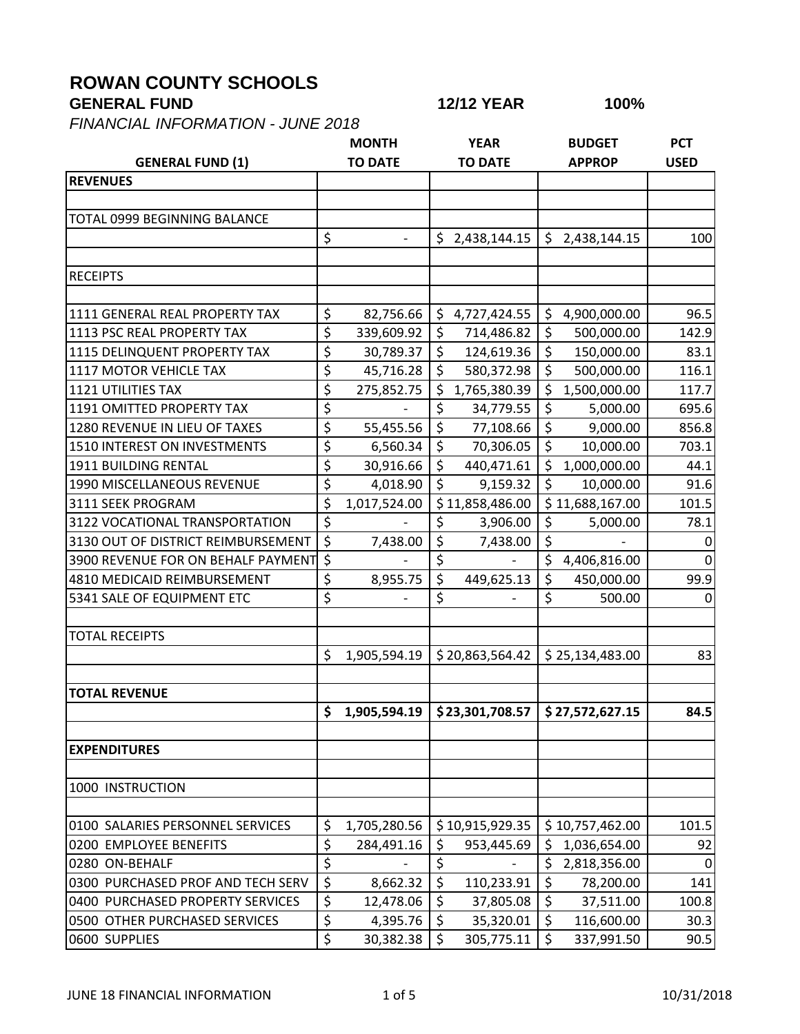## **ROWAN COUNTY SCHOOLS**

*FINANCIAL INFORMATION - JUNE 2018*

| <b>GENERAL FUND (1)</b>             |                  | <b>TO DATE</b> | <b>TO DATE</b>     | <b>APPROP</b>      | <b>USED</b>      |
|-------------------------------------|------------------|----------------|--------------------|--------------------|------------------|
| <b>REVENUES</b>                     |                  |                |                    |                    |                  |
|                                     |                  |                |                    |                    |                  |
| <b>TOTAL 0999 BEGINNING BALANCE</b> |                  |                |                    |                    |                  |
|                                     | \$               |                | \$2,438,144.15     | \$<br>2,438,144.15 | 100              |
|                                     |                  |                |                    |                    |                  |
| <b>RECEIPTS</b>                     |                  |                |                    |                    |                  |
|                                     |                  |                |                    |                    |                  |
| 1111 GENERAL REAL PROPERTY TAX      | \$               | 82,756.66      | \$<br>4,727,424.55 | \$<br>4,900,000.00 | 96.5             |
| 1113 PSC REAL PROPERTY TAX          | \$               | 339,609.92     | \$<br>714,486.82   | \$<br>500,000.00   | 142.9            |
| 1115 DELINQUENT PROPERTY TAX        | \$               | 30,789.37      | \$<br>124,619.36   | \$<br>150,000.00   | 83.1             |
| 1117 MOTOR VEHICLE TAX              | \$               | 45,716.28      | \$<br>580,372.98   | \$<br>500,000.00   | 116.1            |
| 1121 UTILITIES TAX                  | \$               | 275,852.75     | \$<br>1,765,380.39 | \$<br>1,500,000.00 | 117.7            |
| 1191 OMITTED PROPERTY TAX           | \$               |                | \$<br>34,779.55    | \$<br>5,000.00     | 695.6            |
| 1280 REVENUE IN LIEU OF TAXES       | \$               | 55,455.56      | \$<br>77,108.66    | \$<br>9,000.00     | 856.8            |
| 1510 INTEREST ON INVESTMENTS        | \$               | 6,560.34       | \$<br>70,306.05    | \$<br>10,000.00    | 703.1            |
| 1911 BUILDING RENTAL                | \$               | 30,916.66      | \$<br>440,471.61   | \$<br>1,000,000.00 | 44.1             |
| 1990 MISCELLANEOUS REVENUE          | \$               | 4,018.90       | \$<br>9,159.32     | \$<br>10,000.00    | 91.6             |
| 3111 SEEK PROGRAM                   | \$               | 1,017,524.00   | \$11,858,486.00    | 11,688,167.00      | 101.5            |
| 3122 VOCATIONAL TRANSPORTATION      | \$               |                | \$<br>3,906.00     | \$<br>5,000.00     | 78.1             |
| 3130 OUT OF DISTRICT REIMBURSEMENT  | \$               | 7,438.00       | \$<br>7,438.00     | \$                 | 0                |
| 3900 REVENUE FOR ON BEHALF PAYMENT  | \$               |                | \$                 | \$<br>4,406,816.00 | 0                |
| 4810 MEDICAID REIMBURSEMENT         | \$               | 8,955.75       | \$<br>449,625.13   | \$<br>450,000.00   | 99.9             |
| 5341 SALE OF EQUIPMENT ETC          | \$               |                | \$                 | \$<br>500.00       | 0                |
|                                     |                  |                |                    |                    |                  |
| <b>TOTAL RECEIPTS</b>               |                  |                |                    |                    |                  |
|                                     | \$               | 1,905,594.19   | \$20,863,564.42    | \$25,134,483.00    | 83               |
|                                     |                  |                |                    |                    |                  |
| <b>TOTAL REVENUE</b>                |                  |                |                    |                    |                  |
|                                     | \$               | 1,905,594.19   | \$23,301,708.57    | \$27,572,627.15    | 84.5             |
|                                     |                  |                |                    |                    |                  |
| <b>EXPENDITURES</b>                 |                  |                |                    |                    |                  |
|                                     |                  |                |                    |                    |                  |
| 1000 INSTRUCTION                    |                  |                |                    |                    |                  |
|                                     |                  |                |                    |                    |                  |
| 0100 SALARIES PERSONNEL SERVICES    | \$               | 1,705,280.56   | \$10,915,929.35    | \$10,757,462.00    | 101.5            |
| 0200 EMPLOYEE BENEFITS              | \$               | 284,491.16     | \$<br>953,445.69   | \$<br>1,036,654.00 | 92               |
| 0280 ON-BEHALF                      | \$               |                | \$                 | \$<br>2,818,356.00 | $\boldsymbol{0}$ |
| 0300 PURCHASED PROF AND TECH SERV   | \$               | 8,662.32       | \$<br>110,233.91   | \$<br>78,200.00    | 141              |
| 0400 PURCHASED PROPERTY SERVICES    | \$               | 12,478.06      | \$<br>37,805.08    | \$<br>37,511.00    | 100.8            |
| 0500 OTHER PURCHASED SERVICES       | $\overline{\xi}$ | 4,395.76       | \$<br>35,320.01    | \$<br>116,600.00   | 30.3             |
| 0600 SUPPLIES                       | \$               | 30,382.38      | \$<br>305,775.11   | \$<br>337,991.50   | 90.5             |

**GENERAL FUND 12/12 YEAR 100%**

**MONTH YEAR BUDGET PCT**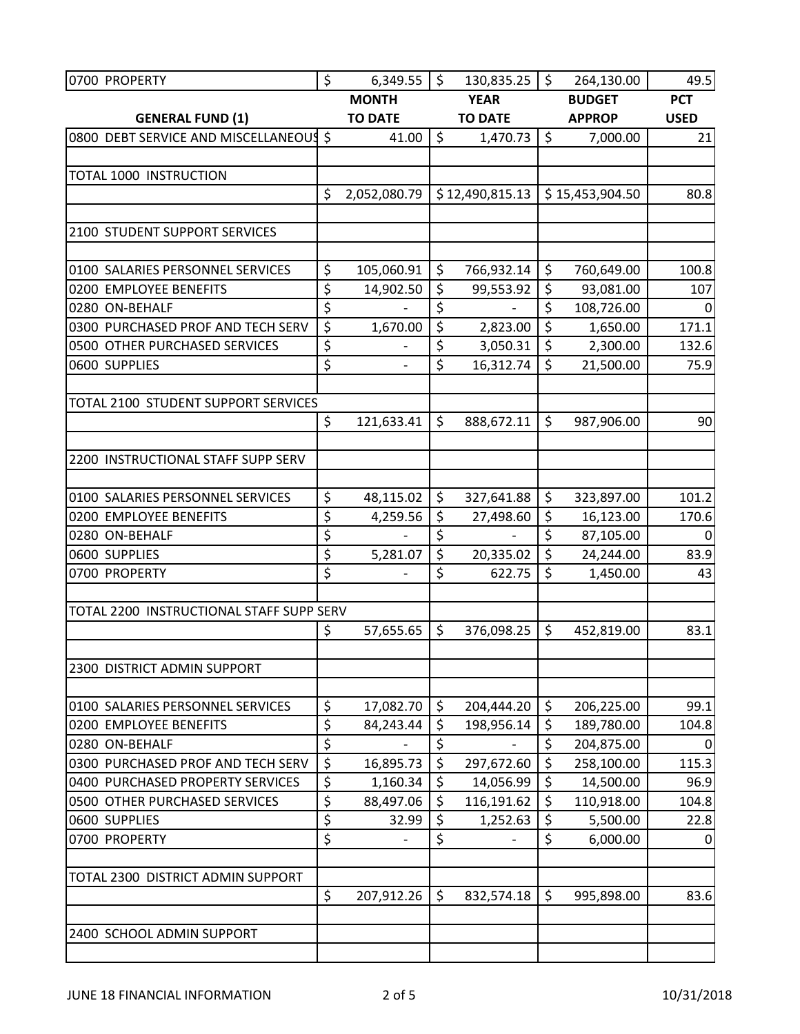| 0700 PROPERTY                            | \$                     | 6,349.55                 | \$      | 130,835.25      | \$      | 264,130.00      | 49.5        |
|------------------------------------------|------------------------|--------------------------|---------|-----------------|---------|-----------------|-------------|
|                                          |                        | <b>MONTH</b>             |         | <b>YEAR</b>     |         | <b>BUDGET</b>   | <b>PCT</b>  |
| <b>GENERAL FUND (1)</b>                  |                        | <b>TO DATE</b>           |         | <b>TO DATE</b>  |         | <b>APPROP</b>   | <b>USED</b> |
| 0800 DEBT SERVICE AND MISCELLANEOUS      |                        | 41.00                    | $\zeta$ | 1,470.73        | \$      | 7,000.00        | 21          |
|                                          |                        |                          |         |                 |         |                 |             |
| TOTAL 1000 INSTRUCTION                   |                        |                          |         |                 |         |                 |             |
|                                          | \$                     | 2,052,080.79             |         | \$12,490,815.13 |         | \$15,453,904.50 | 80.8        |
| 2100 STUDENT SUPPORT SERVICES            |                        |                          |         |                 |         |                 |             |
|                                          |                        |                          |         |                 |         |                 |             |
| 0100 SALARIES PERSONNEL SERVICES         | \$                     | 105,060.91               | \$      | 766,932.14      | \$      | 760,649.00      | 100.8       |
| 0200 EMPLOYEE BENEFITS                   | \$                     | 14,902.50                | \$      | 99,553.92       | \$      | 93,081.00       | 107         |
| 0280 ON-BEHALF                           | \$                     |                          | \$      |                 | \$      | 108,726.00      |             |
| 0300 PURCHASED PROF AND TECH SERV        | $\overline{\xi}$       | 1,670.00                 | \$      | 2,823.00        | \$      | 1,650.00        | 171.1       |
| 0500 OTHER PURCHASED SERVICES            | \$                     |                          | \$      | 3,050.31        | \$      | 2,300.00        | 132.6       |
| 0600 SUPPLIES                            | $\overline{\xi}$       | $\overline{\phantom{a}}$ | \$      | 16,312.74       | \$      | 21,500.00       | 75.9        |
|                                          |                        |                          |         |                 |         |                 |             |
| TOTAL 2100 STUDENT SUPPORT SERVICES      |                        |                          |         |                 |         |                 |             |
|                                          | \$                     | 121,633.41               | \$      | 888,672.11      | \$      | 987,906.00      | 90          |
| 2200 INSTRUCTIONAL STAFF SUPP SERV       |                        |                          |         |                 |         |                 |             |
|                                          |                        |                          |         |                 |         |                 |             |
| 0100 SALARIES PERSONNEL SERVICES         | \$                     | 48,115.02                | \$      | 327,641.88      | \$      | 323,897.00      | 101.2       |
| 0200 EMPLOYEE BENEFITS                   | \$                     | 4,259.56                 | \$      | 27,498.60       | \$      | 16,123.00       | 170.6       |
| 0280 ON-BEHALF                           | $\overline{\xi}$       |                          | \$      |                 | \$      | 87,105.00       |             |
| 0600 SUPPLIES                            | $\overline{\xi}$       | 5,281.07                 | $\zeta$ | 20,335.02       | $\zeta$ | 24,244.00       | 83.9        |
| 0700 PROPERTY                            | \$                     |                          | \$      | 622.75          | \$      | 1,450.00        | 43          |
|                                          |                        |                          |         |                 |         |                 |             |
| TOTAL 2200 INSTRUCTIONAL STAFF SUPP SERV |                        |                          |         |                 |         |                 |             |
|                                          | \$                     | 57,655.65                | \$      | 376,098.25      | \$      | 452,819.00      | 83.1        |
| 2300 DISTRICT ADMIN SUPPORT              |                        |                          |         |                 |         |                 |             |
|                                          |                        |                          |         |                 |         |                 |             |
| 0100 SALARIES PERSONNEL SERVICES         | \$                     | 17,082.70                | \$      | 204,444.20      | \$      | 206,225.00      | 99.1        |
| 0200 EMPLOYEE BENEFITS                   | \$                     | 84,243.44                | \$      | 198,956.14      | \$      | 189,780.00      | 104.8       |
| 0280 ON-BEHALF                           | $\overline{\xi}$       |                          | \$      |                 | \$      | 204,875.00      | 0           |
| 0300 PURCHASED PROF AND TECH SERV        | $\overline{\xi}$       | 16,895.73                | \$      | 297,672.60      | \$      | 258,100.00      | 115.3       |
| 0400 PURCHASED PROPERTY SERVICES         | $\overline{\varsigma}$ | 1,160.34                 | \$      | 14,056.99       | \$      | 14,500.00       | 96.9        |
| 0500 OTHER PURCHASED SERVICES            | $\overline{\xi}$       | 88,497.06                | \$      | 116,191.62      | \$      | 110,918.00      | 104.8       |
| 0600 SUPPLIES                            | $\overline{\xi}$       | 32.99                    | \$      | 1,252.63        | \$      | 5,500.00        | 22.8        |
| 0700 PROPERTY                            | \$                     |                          | \$      |                 | \$      | 6,000.00        | 0           |
|                                          |                        |                          |         |                 |         |                 |             |
| TOTAL 2300 DISTRICT ADMIN SUPPORT        | \$                     | 207,912.26               | $\zeta$ | 832,574.18      | \$      | 995,898.00      | 83.6        |
|                                          |                        |                          |         |                 |         |                 |             |
| 2400 SCHOOL ADMIN SUPPORT                |                        |                          |         |                 |         |                 |             |
|                                          |                        |                          |         |                 |         |                 |             |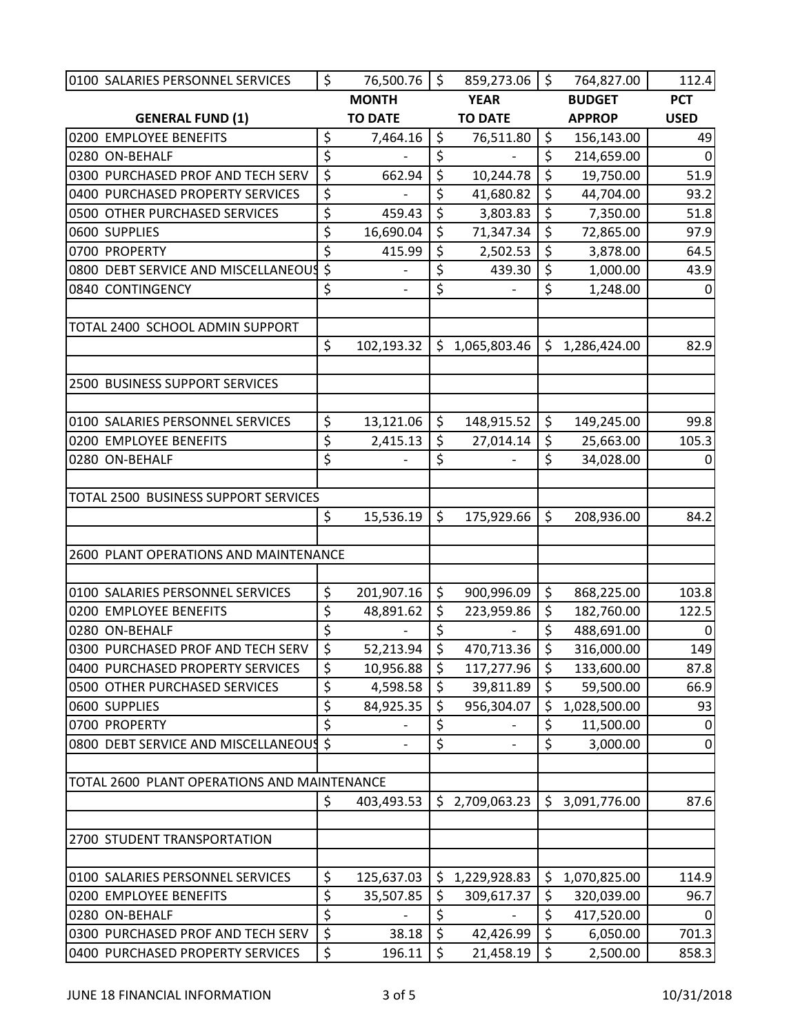| 0100 SALARIES PERSONNEL SERVICES            | \$               | 76,500.76      | \$               | 859,273.06     | \$      | 764,827.00    | 112.4            |
|---------------------------------------------|------------------|----------------|------------------|----------------|---------|---------------|------------------|
|                                             |                  | <b>MONTH</b>   |                  | <b>YEAR</b>    |         | <b>BUDGET</b> | <b>PCT</b>       |
| <b>GENERAL FUND (1)</b>                     |                  | <b>TO DATE</b> |                  | <b>TO DATE</b> |         | <b>APPROP</b> | <b>USED</b>      |
| 0200 EMPLOYEE BENEFITS                      | \$               | 7,464.16       | \$               | 76,511.80      | $\zeta$ | 156,143.00    | 49               |
| 0280 ON-BEHALF                              | \$               |                | \$               |                | \$      | 214,659.00    | $\mathbf 0$      |
| 0300 PURCHASED PROF AND TECH SERV           | $\overline{\xi}$ | 662.94         | \$               | 10,244.78      | \$      | 19,750.00     | 51.9             |
| 0400 PURCHASED PROPERTY SERVICES            | \$               |                | \$               | 41,680.82      | \$      | 44,704.00     | 93.2             |
| 0500 OTHER PURCHASED SERVICES               | \$               | 459.43         | \$               | 3,803.83       | \$      | 7,350.00      | 51.8             |
| 0600 SUPPLIES                               | \$               | 16,690.04      | \$               | 71,347.34      | \$      | 72,865.00     | 97.9             |
| 0700 PROPERTY                               | \$               | 415.99         | \$               | 2,502.53       | \$      | 3,878.00      | 64.5             |
| 0800 DEBT SERVICE AND MISCELLANEOUS         | \$               |                | \$               | 439.30         | \$      | 1,000.00      | 43.9             |
| 0840 CONTINGENCY                            | $\overline{\xi}$ |                | \$               |                | \$      | 1,248.00      | $\mathbf 0$      |
|                                             |                  |                |                  |                |         |               |                  |
| TOTAL 2400 SCHOOL ADMIN SUPPORT             |                  |                |                  |                |         |               |                  |
|                                             | \$               | 102,193.32     | \$               | 1,065,803.46   | \$      | 1,286,424.00  | 82.9             |
| 2500 BUSINESS SUPPORT SERVICES              |                  |                |                  |                |         |               |                  |
|                                             |                  |                |                  |                |         |               |                  |
| 0100 SALARIES PERSONNEL SERVICES            | \$               | 13,121.06      | $\zeta$          | 148,915.52     | \$      | 149,245.00    | 99.8             |
| 0200 EMPLOYEE BENEFITS                      | \$               | 2,415.13       | \$               | 27,014.14      | \$      | 25,663.00     | 105.3            |
| 0280 ON-BEHALF                              | $\overline{\xi}$ |                | \$               |                | \$      | 34,028.00     | $\mathbf 0$      |
|                                             |                  |                |                  |                |         |               |                  |
| TOTAL 2500 BUSINESS SUPPORT SERVICES        |                  |                |                  |                |         |               |                  |
|                                             | \$               | 15,536.19      | $\zeta$          | 175,929.66     | \$      | 208,936.00    | 84.2             |
|                                             |                  |                |                  |                |         |               |                  |
| 2600 PLANT OPERATIONS AND MAINTENANCE       |                  |                |                  |                |         |               |                  |
|                                             |                  |                |                  |                |         |               |                  |
| 0100 SALARIES PERSONNEL SERVICES            | \$               | 201,907.16     | \$               | 900,996.09     | \$      | 868,225.00    | 103.8            |
| 0200 EMPLOYEE BENEFITS                      | \$               | 48,891.62      | \$               | 223,959.86     | \$      | 182,760.00    | 122.5            |
| 0280 ON-BEHALF                              | \$               |                | \$               |                | \$      | 488,691.00    | 0                |
| 0300 PURCHASED PROF AND TECH SERV           | $\overline{\xi}$ | 52,213.94      | $\overline{\xi}$ | 470,713.36     | \$      | 316,000.00    | 149              |
| 0400 PURCHASED PROPERTY SERVICES            | \$               | 10,956.88      | \$               | 117,277.96     | \$      | 133,600.00    | 87.8             |
| 0500 OTHER PURCHASED SERVICES               | \$               | 4,598.58       | \$               | 39,811.89      | \$      | 59,500.00     | 66.9             |
| 0600 SUPPLIES                               | $\overline{\xi}$ | 84,925.35      | \$               | 956,304.07     | \$      | 1,028,500.00  | 93               |
| 0700 PROPERTY                               | \$               |                | \$               |                | \$      | 11,500.00     | $\mathbf 0$      |
| 0800 DEBT SERVICE AND MISCELLANEOUS         | $\zeta$          |                | \$               |                | \$      | 3,000.00      | $\boldsymbol{0}$ |
|                                             |                  |                |                  |                |         |               |                  |
| TOTAL 2600 PLANT OPERATIONS AND MAINTENANCE |                  |                |                  |                |         |               |                  |
|                                             | \$               | 403,493.53     | \$.              | 2,709,063.23   | \$      | 3,091,776.00  | 87.6             |
| 2700 STUDENT TRANSPORTATION                 |                  |                |                  |                |         |               |                  |
|                                             |                  |                |                  |                |         |               |                  |
| 0100 SALARIES PERSONNEL SERVICES            | \$               | 125,637.03     | \$               | 1,229,928.83   | \$      | 1,070,825.00  | 114.9            |
| 0200 EMPLOYEE BENEFITS                      | \$               | 35,507.85      | \$               | 309,617.37     | \$      | 320,039.00    | 96.7             |
| 0280 ON-BEHALF                              | \$               |                | \$               |                | \$      | 417,520.00    | $\Omega$         |
| 0300 PURCHASED PROF AND TECH SERV           | $\overline{\xi}$ | 38.18          | \$               | 42,426.99      | \$      | 6,050.00      | 701.3            |
| 0400 PURCHASED PROPERTY SERVICES            | \$               | 196.11         | \$               | 21,458.19      | \$      | 2,500.00      | 858.3            |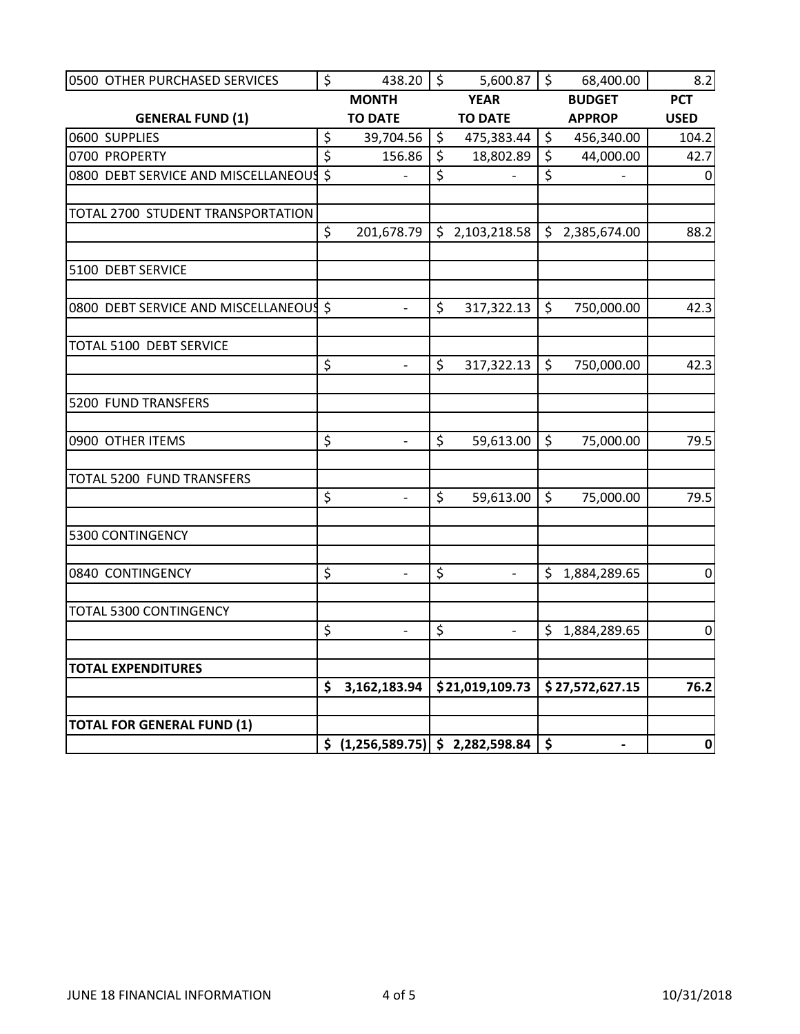| 0500 OTHER PURCHASED SERVICES          | \$               | 438.20 $\frac{1}{2}$                                    | 5,600.87                       | $\ddot{\mathsf{S}}$ | 68,400.00                | 8.2              |
|----------------------------------------|------------------|---------------------------------------------------------|--------------------------------|---------------------|--------------------------|------------------|
|                                        |                  | <b>MONTH</b>                                            | <b>YEAR</b>                    |                     | <b>BUDGET</b>            | <b>PCT</b>       |
| <b>GENERAL FUND (1)</b>                |                  | <b>TO DATE</b>                                          | <b>TO DATE</b>                 |                     | <b>APPROP</b>            | <b>USED</b>      |
| 0600 SUPPLIES                          | \$               | 39,704.56                                               | \$<br>475,383.44               | \$                  | 456,340.00               | 104.2            |
| 0700 PROPERTY                          | $\overline{\xi}$ | 156.86                                                  | \$<br>18,802.89                | \$                  | 44,000.00                | 42.7             |
| 0800 DEBT SERVICE AND MISCELLANEOUS \$ |                  | $\overline{a}$                                          | \$                             | \$                  |                          | $\mathbf 0$      |
|                                        |                  |                                                         |                                |                     |                          |                  |
| TOTAL 2700 STUDENT TRANSPORTATION      |                  |                                                         |                                |                     |                          |                  |
|                                        | \$               | 201,678.79                                              | \$2,103,218.58                 |                     | \$2,385,674.00           | 88.2             |
| 5100 DEBT SERVICE                      |                  |                                                         |                                |                     |                          |                  |
|                                        |                  |                                                         |                                |                     |                          |                  |
| 0800 DEBT SERVICE AND MISCELLANEOUS \$ |                  | $\overline{a}$                                          | \$<br>317,322.13               | $\zeta$             | 750,000.00               | 42.3             |
| <b>TOTAL 5100 DEBT SERVICE</b>         |                  |                                                         |                                |                     |                          |                  |
|                                        | \$               | $\overline{\phantom{a}}$                                | \$<br>317,322.13               | \$                  | 750,000.00               | 42.3             |
| 5200 FUND TRANSFERS                    |                  |                                                         |                                |                     |                          |                  |
| 0900 OTHER ITEMS                       | \$               | $\frac{1}{2}$                                           | \$<br>59,613.00                | $\zeta$             | 75,000.00                | 79.5             |
| <b>TOTAL 5200 FUND TRANSFERS</b>       |                  |                                                         |                                |                     |                          |                  |
|                                        | \$               |                                                         | \$<br>59,613.00                | $\zeta$             | 75,000.00                | 79.5             |
| 5300 CONTINGENCY                       |                  |                                                         |                                |                     |                          |                  |
| 0840 CONTINGENCY                       | \$               |                                                         | \$<br>$\overline{\phantom{a}}$ | S                   | 1,884,289.65             | $\pmb{0}$        |
| TOTAL 5300 CONTINGENCY                 |                  |                                                         |                                |                     |                          |                  |
|                                        | \$               | $\overline{\phantom{a}}$                                | \$<br>$\blacksquare$           | \$                  | 1,884,289.65             | $\boldsymbol{0}$ |
| <b>TOTAL EXPENDITURES</b>              |                  |                                                         |                                |                     |                          |                  |
|                                        | \$               | 3,162,183.94                                            | \$21,019,109.73                |                     | \$27,572,627.15          | 76.2             |
| <b>TOTAL FOR GENERAL FUND (1)</b>      |                  |                                                         |                                |                     |                          |                  |
|                                        |                  | $\frac{1}{2}$ (1,256,589.75) $\frac{1}{2}$ 2,282,598.84 |                                | $\dot{\mathsf{s}}$  | $\overline{\phantom{a}}$ | $\mathbf 0$      |